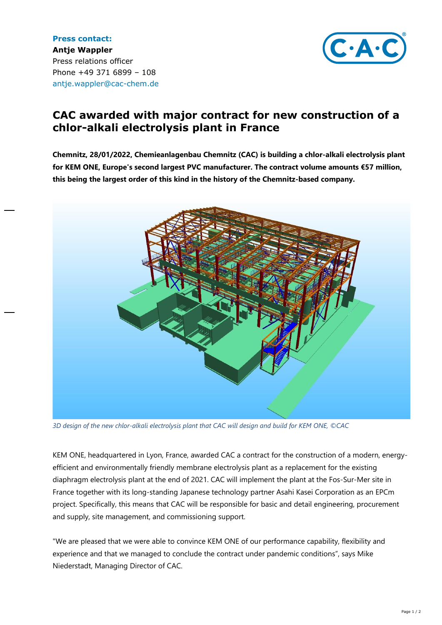**Press contact: Antje Wappler** Press relations officer Phone +49 371 6899 – 108 antje.wappler@cac-chem.de



## **CAC awarded with major contract for new construction of a chlor-alkali electrolysis plant in France**

**Chemnitz, 28/01/2022, Chemieanlagenbau Chemnitz (CAC) is building a chlor-alkali electrolysis plant for KEM ONE, Europe's second largest PVC manufacturer. The contract volume amounts €57 million, this being the largest order of this kind in the history of the Chemnitz-based company.**



*3D design of the new chlor-alkali electrolysis plant that CAC will design and build for KEM ONE, ©CAC*

KEM ONE, headquartered in Lyon, France, awarded CAC a contract for the construction of a modern, energyefficient and environmentally friendly membrane electrolysis plant as a replacement for the existing diaphragm electrolysis plant at the end of 2021. CAC will implement the plant at the Fos-Sur-Mer site in France together with its long-standing Japanese technology partner Asahi Kasei Corporation as an EPCm project. Specifically, this means that CAC will be responsible for basic and detail engineering, procurement and supply, site management, and commissioning support.

"We are pleased that we were able to convince KEM ONE of our performance capability, flexibility and experience and that we managed to conclude the contract under pandemic conditions", says Mike Niederstadt, Managing Director of CAC.